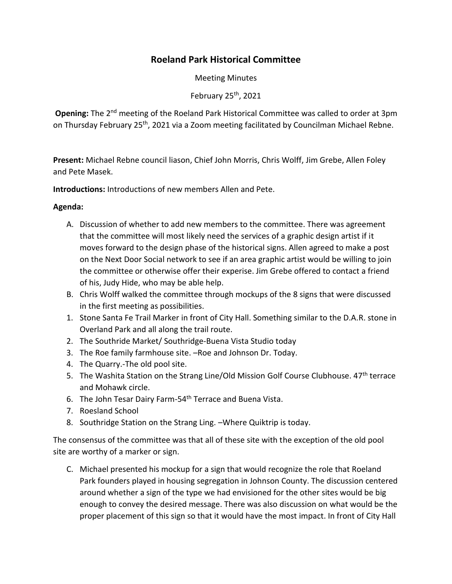## **Roeland Park Historical Committee**

Meeting Minutes

February  $25<sup>th</sup>$ , 2021

**Opening:** The 2<sup>nd</sup> meeting of the Roeland Park Historical Committee was called to order at 3pm on Thursday February 25<sup>th</sup>, 2021 via a Zoom meeting facilitated by Councilman Michael Rebne.

**Present:** Michael Rebne council liason, Chief John Morris, Chris Wolff, Jim Grebe, Allen Foley and Pete Masek.

**Introductions:** Introductions of new members Allen and Pete.

## **Agenda:**

- A. Discussion of whether to add new members to the committee. There was agreement that the committee will most likely need the services of a graphic design artist if it moves forward to the design phase of the historical signs. Allen agreed to make a post on the Next Door Social network to see if an area graphic artist would be willing to join the committee or otherwise offer their experise. Jim Grebe offered to contact a friend of his, Judy Hide, who may be able help.
- B. Chris Wolff walked the committee through mockups of the 8 signs that were discussed in the first meeting as possibilities.
- 1. Stone Santa Fe Trail Marker in front of City Hall. Something similar to the D.A.R. stone in Overland Park and all along the trail route.
- 2. The Southride Market/ Southridge-Buena Vista Studio today
- 3. The Roe family farmhouse site. –Roe and Johnson Dr. Today.
- 4. The Quarry.-The old pool site.
- 5. The Washita Station on the Strang Line/Old Mission Golf Course Clubhouse. 47<sup>th</sup> terrace and Mohawk circle.
- 6. The John Tesar Dairy Farm-54th Terrace and Buena Vista.
- 7. Roesland School
- 8. Southridge Station on the Strang Ling. –Where Quiktrip is today.

The consensus of the committee was that all of these site with the exception of the old pool site are worthy of a marker or sign.

C. Michael presented his mockup for a sign that would recognize the role that Roeland Park founders played in housing segregation in Johnson County. The discussion centered around whether a sign of the type we had envisioned for the other sites would be big enough to convey the desired message. There was also discussion on what would be the proper placement of this sign so that it would have the most impact. In front of City Hall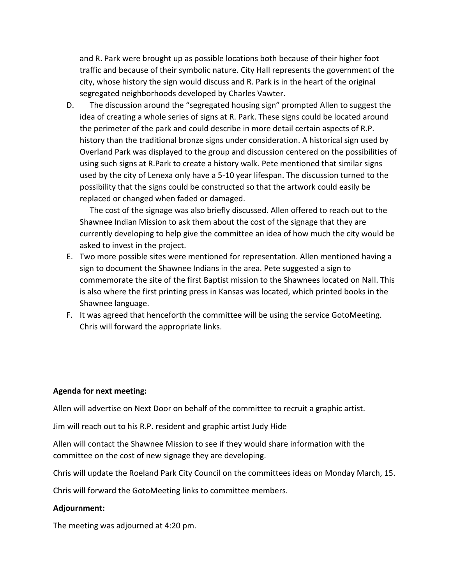and R. Park were brought up as possible locations both because of their higher foot traffic and because of their symbolic nature. City Hall represents the government of the city, whose history the sign would discuss and R. Park is in the heart of the original segregated neighborhoods developed by Charles Vawter.

D. The discussion around the "segregated housing sign" prompted Allen to suggest the idea of creating a whole series of signs at R. Park. These signs could be located around the perimeter of the park and could describe in more detail certain aspects of R.P. history than the traditional bronze signs under consideration. A historical sign used by Overland Park was displayed to the group and discussion centered on the possibilities of using such signs at R.Park to create a history walk. Pete mentioned that similar signs used by the city of Lenexa only have a 5-10 year lifespan. The discussion turned to the possibility that the signs could be constructed so that the artwork could easily be replaced or changed when faded or damaged.

 The cost of the signage was also briefly discussed. Allen offered to reach out to the Shawnee Indian Mission to ask them about the cost of the signage that they are currently developing to help give the committee an idea of how much the city would be asked to invest in the project.

- E. Two more possible sites were mentioned for representation. Allen mentioned having a sign to document the Shawnee Indians in the area. Pete suggested a sign to commemorate the site of the first Baptist mission to the Shawnees located on Nall. This is also where the first printing press in Kansas was located, which printed books in the Shawnee language.
- F. It was agreed that henceforth the committee will be using the service GotoMeeting. Chris will forward the appropriate links.

## **Agenda for next meeting:**

Allen will advertise on Next Door on behalf of the committee to recruit a graphic artist.

Jim will reach out to his R.P. resident and graphic artist Judy Hide

Allen will contact the Shawnee Mission to see if they would share information with the committee on the cost of new signage they are developing.

Chris will update the Roeland Park City Council on the committees ideas on Monday March, 15.

Chris will forward the GotoMeeting links to committee members.

## **Adjournment:**

The meeting was adjourned at 4:20 pm.